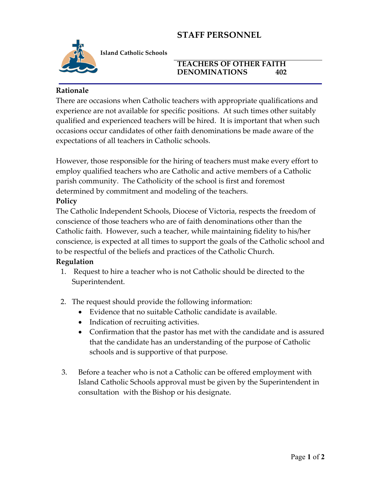# **STAFF PERSONNEL**



**Island Catholic Schools** 

#### **TEACHERS OF OTHER FAITH DENOMINATIONS 402**

### **Rationale**

There are occasions when Catholic teachers with appropriate qualifications and experience are not available for specific positions. At such times other suitably qualified and experienced teachers will be hired. It is important that when such occasions occur candidates of other faith denominations be made aware of the expectations of all teachers in Catholic schools.

However, those responsible for the hiring of teachers must make every effort to employ qualified teachers who are Catholic and active members of a Catholic parish community. The Catholicity of the school is first and foremost determined by commitment and modeling of the teachers.

### **Policy**

The Catholic Independent Schools, Diocese of Victoria, respects the freedom of conscience of those teachers who are of faith denominations other than the Catholic faith. However, such a teacher, while maintaining fidelity to his/her conscience, is expected at all times to support the goals of the Catholic school and to be respectful of the beliefs and practices of the Catholic Church.

### **Regulation**

- 1. Request to hire a teacher who is not Catholic should be directed to the Superintendent.
- 2. The request should provide the following information:
	- Evidence that no suitable Catholic candidate is available.
	- Indication of recruiting activities.
	- Confirmation that the pastor has met with the candidate and is assured that the candidate has an understanding of the purpose of Catholic schools and is supportive of that purpose.
- 3. Before a teacher who is not a Catholic can be offered employment with Island Catholic Schools approval must be given by the Superintendent in consultation with the Bishop or his designate.